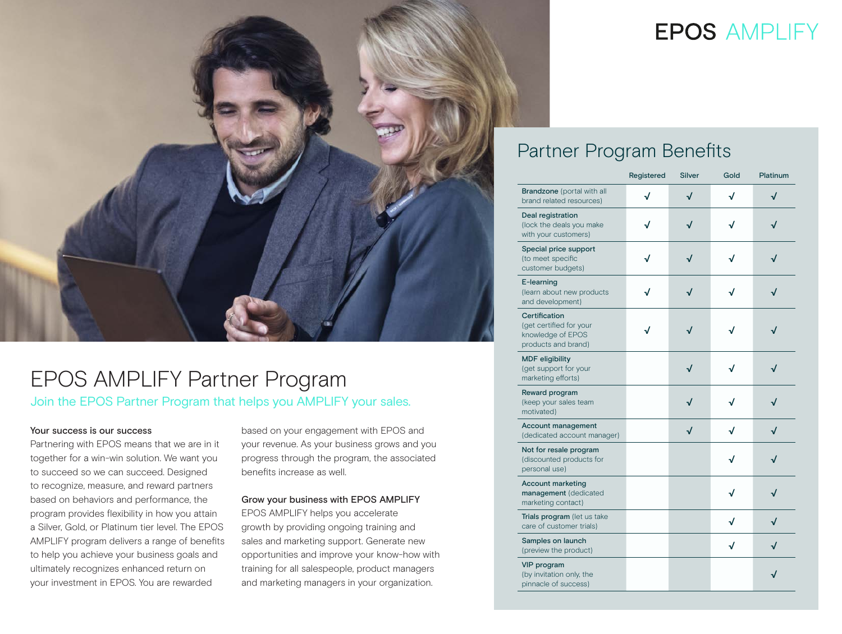

## EPOS AMPLIFY Partner Program Join the EPOS Partner Program that helps you AMPLIFY your sales.

### Your success is our success

Partnering with EPOS means that we are in it together for a win-win solution. We want you to succeed so we can succeed. Designed to recognize, measure, and reward partners based on behaviors and performance, the program provides flexibility in how you attain a Silver, Gold, or Platinum tier level. The EPOS AMPLIFY program delivers a range of benefits to help you achieve your business goals and ultimately recognizes enhanced return on your investment in EPOS. You are rewarded

based on your engagement with EPOS and your revenue. As your business grows and you progress through the program, the associated benefits increase as well.

### Grow your business with EPOS AMPLIFY

EPOS AMPLIFY helps you accelerate growth by providing ongoing training and sales and marketing support. Generate new opportunities and improve your know-how with training for all salespeople, product managers and marketing managers in your organization.

# **EPOS AMPLIFY**

### Partner Program Benefits

|                                                                                      | Registered | Silver | Gold | Platinum |
|--------------------------------------------------------------------------------------|------------|--------|------|----------|
| Brandzone (portal with all<br>brand related resources)                               | √          | √      | √    | √        |
| Deal registration<br>(lock the deals you make<br>with your customers)                | J          |        | J    |          |
| Special price support<br>(to meet specific<br>customer budgets)                      | √          |        | J    |          |
| E-learning<br>(learn about new products<br>and development)                          | J          |        |      |          |
| Certification<br>(get certified for your<br>knowledge of EPOS<br>products and brand) | J          |        | √    |          |
| <b>MDF</b> eligibility<br>(get support for your<br>marketing efforts)                |            | √      | J    |          |
| Reward program<br>(keep your sales team<br>motivated)                                |            |        |      |          |
| <b>Account management</b><br>(dedicated account manager)                             |            | √      | √    |          |
| Not for resale program<br>(discounted products for<br>personal use)                  |            |        | J    |          |
| <b>Account marketing</b><br>management (dedicated<br>marketing contact)              |            |        |      |          |
| Trials program (let us take<br>care of customer trials)                              |            |        | √    | √        |
| Samples on launch<br>(preview the product)                                           |            |        | √    |          |
| <b>VIP</b> program<br>(by invitation only, the<br>pinnacle of success)               |            |        |      | √        |